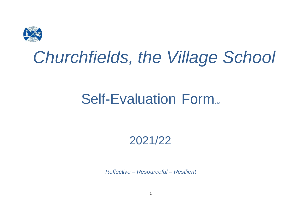

# *Churchfields, the Village School*

## **Self-Evaluation Form**

### 2021/22

*Reflective – Resourceful – Resilient*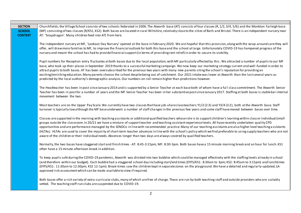| <b>SECTION</b><br><b>SCHOOL</b><br><b>CONTEXT</b> | Churchfields, the Village School consists of two schools federated in 2006. The Atworth base (AT) consists of four classes (R, 1/2, 3/4, 5/6) and the Monkton Farleigh base<br>(MF) consisting of two classes (R/KS1, KS2). Both bases are located in rural Wiltshire, relatively close to the cities of Bath and Bristol. There is an independent nursery near<br>AT: 'Snapdragon'. Many children feed into AT) from here.                                                                                                                                                                                                                                                                                                                                                                                                       |
|---------------------------------------------------|-----------------------------------------------------------------------------------------------------------------------------------------------------------------------------------------------------------------------------------------------------------------------------------------------------------------------------------------------------------------------------------------------------------------------------------------------------------------------------------------------------------------------------------------------------------------------------------------------------------------------------------------------------------------------------------------------------------------------------------------------------------------------------------------------------------------------------------|
|                                                   | The independent nursery at MF, 'Lookout Day Nursery' opened at the base in February 2020. We are hopeful that this provision, along with the wrap-around care they will<br>offer, will draw more families to MF, to improve the financial outlook for both this base and the school at large. Unfortunately COVID-19 has hampered progress of the<br>nursery and meant the school has had to provide financial support (in terms of providing rent relief) in order to secure its viability.                                                                                                                                                                                                                                                                                                                                      |
|                                                   | Pupil numbers for Reception entry fluctuates at both bases due to the local population, with MF particularly affected by this. We attracted a number of pupils to our MF<br>base, who took up their places in September 2019 thanks to a successful marketing campaign. We now keep our marketing strategy current and well-funded in order to<br>attract pupils to both bases. AT has been oversubscribed for the previous two years with many new parents siting the school's reputation for providing an<br>exciting/enriching education. Many parents choose the school despite being out of catchment. Our 2021 intake was lower at Atworth than the last several years as<br>predicted by the local authority's demographic analysis. Our numbers on roll remain higher than predictions however.                           |
|                                                   | The Headteacher has been in post since January 2014 and is supported by a Senior Teacher at each base both of whom have a full class commitment. The Atworth Senior<br>Teacher has been in post for a number of years and the MF Senior Teacher has been in her substantive post since January 2017. Staffing at both bases is stable bar internal<br>movement between the two.                                                                                                                                                                                                                                                                                                                                                                                                                                                   |
|                                                   | Most teachers are on the Upper Pay Scale. We currently have two classes that have job-share classteachers: Y1/2 (2:3) and Y3/4 (3:2), both at the Atworth base. Staff<br>turnover is typically low although the MF base underwent a number of staff changes in the previous few years and some staff have moved between bases over time.                                                                                                                                                                                                                                                                                                                                                                                                                                                                                          |
|                                                   | Classes are supported in the morning with teaching assistants or additional qualified teachers whose role is to support children's learning within class or individual/small<br>groups outside the classroom. In 20/21 we have a mixture of support teacher and teaching assistant experience levels. All have recently undertaken quality CPD<br>opportunities and are performance managed by the SENDCo in line with recommended practice. Many of our teaching assistants are also higher level teaching assistants<br>(HLTAs). HLTAs are used to cover the majority of short-term teacher absences in line with the school's policy which we find preferable to using supply teachers who are not<br>aware of the children or their individual needs. Absences longer than two days are always covered by qualified teachers. |
|                                                   | Normally, the two bases have staggered start and finish times - AT: 8:45-3:15pm; MF: 8:30-3pm. Both bases have a 15 minute morning break and an hour for lunch. KS1<br>often have a 15 minute afternoon break in addition.                                                                                                                                                                                                                                                                                                                                                                                                                                                                                                                                                                                                        |
|                                                   | To keep pupils safe during the COVID-19 pandemic, Atworth was divided into two bubbles which could be managed effectively with the staffing levels already in school<br>(and therefore within our budget). Each bubble had a staggered school day including start/end times (EYFS/KS1: 8:30am to 3pm; KS2: 8:45am to 3:15pm) and lunchtimes<br>(EYFS/KS1: 11:30am to 12:30pm; KS2 12-1pm). Break-times saw the children kept in separate zones on the playground. We have a detailed and regularly-updated, LA-<br>approved risk assessment which can be made available to view if required.                                                                                                                                                                                                                                      |
|                                                   | Both bases offer a rich variety of extra-curricular clubs, many of which are free of charge. These are run by both teaching staff and outside providers who are suitably<br>vetted. The teaching staff-run clubs are suspended due to COVID-19.                                                                                                                                                                                                                                                                                                                                                                                                                                                                                                                                                                                   |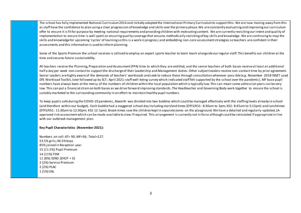The school has fully implemented National Curriculum 2014 and initially adopted the International Primary Curriculum to support this. We are now moving away from this as staff have the confidence to plan using a clear progression of knowledge and skills over the primary phase. We are constantly evaluating and improving our curriculum offer to ensure it is fit for purpose by meeting national requirements and providing children with motivating content. We are currently revisiting our intent and quality of implementation to ensure time is well spent on ensuring quality coverage that ensures methodically revisiting of key skills and knowledge. We are continuing to map the skills and knowledge for upcoming 'cycles' of learning so this is a work in progress; and embedding non-core assessment strategies so teachers are confident in their assessments and this information is used to inform planning.

Some of the Sports Premium the school receives is utilised to employ an expert sports teacher to team teach alongside our regular staff. This benefits our children at the time and secures future sustainability.

All teachers receive the Planning, Preparation and Assessment (PPA) time to which they are entitled, and the senior teachers of both bases receive at least an additional half a day per week non-contact to support the discharge of their Leadership and Management duties. Other subject leaders receive non-contact time by prior agreement. Senior Leaders are highly aware of the demands of teachers' workloads and seek to reduce these through consultation whenever poss ible (e.g. November 2018 INSET used DfE Workload Toolkit, later followed up by SLT; April 2021: staff well-being survey which indicated staff felt supported by the school over the pandemic). MF base pupil numbers have always been at the mercy of the numbers of children within the local population which is typically low. This can mean some admission years can be very low. This can put a financial strain on both bases as we drive forward improving standards. The Headteacher and Governing Body work together to ensure the school is suitably marketed to the surrounding community in an effort to maintain healthy pupil numbers.

To keep pupils safe during the COVID-19 pandemic, Atworth was divided into two bubbles which could be managed effectively with the staffing levels already in school (and therefore within our budget). Each bubble had a staggered school day including start/end times (EYFS/KS1: 8:30am to 3pm; KS2: 8:45am to 3:15pm) and lunchtimes (EYFS/KS1: 11:30am to 12:30pm; KS2 12-1pm). Break-times saw the children kept in separate zones on the playground. We have a detailed and regularly-updated, LAapproved risk assessment which can be made available to view if required. This arrangement is currently not in force although could be reinstated if appropriate in line with our outbreak management plan.

#### **Key Pupil Characteristics (November 2021):**

Numbers on roll: AT= 90; MF=36; Total=127. 53.5% girls; 46.5% boys 85% joined in Reception year 15 (11.5%) Pupil Premium 14 (11%) FSM 11 (8%) SEND (EHCP = 0) 2 (2%) Service Premium 2 (2%) PLAC 1 (1%) EAL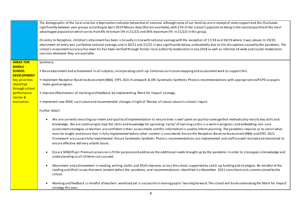|                                                       | The demographic of the local area has a deprivation indicator below that of national although some of our families are in receipt of state support and this fluctuates<br>significantly between year groups according to April 2019 Mosaic data (the last available), with 21% of the school's populati on being in the second quartile of the least<br>advantaged population which varies from 8% minimum (Y4 in 21/22) and 36% maximum (Y5 in 21/22) in this group.<br>On entry to Reception, children's attainment has been is broadly in line with national average with the exception of 17/18 and 18/19 where it was above. In 19/20,<br>attainment on entry was just below national average, and in 20/21 and 21/22, it was significantly below, undoubtedly due to the disruptions caused by the pandemic. The<br>school's assessment accuracy has been his has been verified through formal local authority moderation in July 2018 as well as informal LA wide and cluster moderation<br>sessions whenever they are available. |
|-------------------------------------------------------|------------------------------------------------------------------------------------------------------------------------------------------------------------------------------------------------------------------------------------------------------------------------------------------------------------------------------------------------------------------------------------------------------------------------------------------------------------------------------------------------------------------------------------------------------------------------------------------------------------------------------------------------------------------------------------------------------------------------------------------------------------------------------------------------------------------------------------------------------------------------------------------------------------------------------------------------------------------------------------------------------------------------------------------|
| <b>AREAS FOR</b>                                      | Summary:                                                                                                                                                                                                                                                                                                                                                                                                                                                                                                                                                                                                                                                                                                                                                                                                                                                                                                                                                                                                                                 |
| <b>WHOLE</b><br><b>SCHOOL</b><br><b>DEVELOPMENT</b>   | . Raise attainment and achievement in all subjects, incorporating catch-up. Continue curriculum mapping and assessment work to support this.                                                                                                                                                                                                                                                                                                                                                                                                                                                                                                                                                                                                                                                                                                                                                                                                                                                                                             |
| <b>Key priorities</b><br>identified<br>through school | . Implement Reception Baseline Assessment (RBA), EYFS 2021 Framework & DfE Systematic Synthetic Phonics recommendations with appropriate staff CPD so pupils<br>make good progress.                                                                                                                                                                                                                                                                                                                                                                                                                                                                                                                                                                                                                                                                                                                                                                                                                                                      |
| performance<br>review &                               | . Improve effectiveness of marking and feedback by implementing 'Mark for Impact' strategy.                                                                                                                                                                                                                                                                                                                                                                                                                                                                                                                                                                                                                                                                                                                                                                                                                                                                                                                                              |
| evaluation.                                           | . Implement new RSHE curriculum and recommended changes in light of 'Review of sexual abuse in schools' report.                                                                                                                                                                                                                                                                                                                                                                                                                                                                                                                                                                                                                                                                                                                                                                                                                                                                                                                          |
|                                                       | Further detail:                                                                                                                                                                                                                                                                                                                                                                                                                                                                                                                                                                                                                                                                                                                                                                                                                                                                                                                                                                                                                          |
|                                                       | We are currently revisiting our intent and quality of implementation to ensure time is well spent on quality coverage that methodically revisits key skills and<br>$\bullet$<br>knowledge. We are continuing to map the skills and knowledge for upcoming 'cycles' of learning so this is a work in progress; and embedding non-core<br>assessment strategies so teachers are confident in their assessments and this information is used to inform planning. The pandemic requires us to revisit what<br>must be taught and ensure that is fully implemented before other content is considered. Ensure the Reception Baseline Assessment (RBA) and EYFS 2021<br>Framework are successfully implemented. Ensure Systematic Synthetic Phonics recommendations are implemented and staff are well-trained and monitored to<br>ensure effective delivery at both bases.                                                                                                                                                                    |
|                                                       | Ensure SEND/Pupil Premium provision is fit for purpose and addresses the additional needs brought up by the pandemic in order to close gaps in knowledge and<br>understanding so all children can succeed.                                                                                                                                                                                                                                                                                                                                                                                                                                                                                                                                                                                                                                                                                                                                                                                                                               |
|                                                       | Attainment and achievement in reading, writing, maths and SPaGimproves across the school, supported by catch-up funding and strategies. Be mindful of the<br>reading and SPaG issues that were evident before the pandemic, and recommendations identified in a November 2021 consultant visit, commissioned by the<br>school.                                                                                                                                                                                                                                                                                                                                                                                                                                                                                                                                                                                                                                                                                                           |
|                                                       | Marking and feedback is mindful of teachers' workload yet is successful in moving pupils' learning forward. The school will be disseminating the 'Mark for Impact'<br>strategy this year.                                                                                                                                                                                                                                                                                                                                                                                                                                                                                                                                                                                                                                                                                                                                                                                                                                                |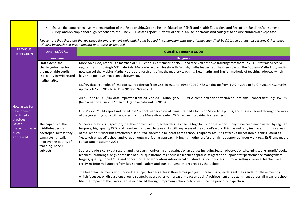|                                                | Ensure the comprehensive implementation of the Relationship, Sex and Health Education (RSHE) and Health Education; and Reception Baseline Assessment<br>$\bullet$<br>(RBA); and develop a thorough response to the June 2021 Ofsted report: "Review of sexual abuse in schools and colleges" to ensure children are kept safe. |                                                                                                                                                                                                                                                                                                                                                                                                                                                                                                                                                                                                                                  |  |  |  |  |
|------------------------------------------------|--------------------------------------------------------------------------------------------------------------------------------------------------------------------------------------------------------------------------------------------------------------------------------------------------------------------------------|----------------------------------------------------------------------------------------------------------------------------------------------------------------------------------------------------------------------------------------------------------------------------------------------------------------------------------------------------------------------------------------------------------------------------------------------------------------------------------------------------------------------------------------------------------------------------------------------------------------------------------|--|--|--|--|
|                                                |                                                                                                                                                                                                                                                                                                                                | Please note that these are the key areas for improvement only and should be read in conjunction with the priorities identified by Ofsted in our last inspection. Other areas<br>will also be developed in conjunction with these as required.                                                                                                                                                                                                                                                                                                                                                                                    |  |  |  |  |
| <b>PREVIOUS</b><br><b>INSPECTION</b>           | Date: 28/02/17                                                                                                                                                                                                                                                                                                                 | <b>Overall Judgement: GOOD</b>                                                                                                                                                                                                                                                                                                                                                                                                                                                                                                                                                                                                   |  |  |  |  |
|                                                | <b>Key Issue</b>                                                                                                                                                                                                                                                                                                               | <b>Progress</b>                                                                                                                                                                                                                                                                                                                                                                                                                                                                                                                                                                                                                  |  |  |  |  |
|                                                | Staff extend the<br>challenge further for<br>the most able pupils,<br>especially in writing and<br>mathematics.                                                                                                                                                                                                                | More Able (MA) leader is a member of SLT. School is a member of NACE and received bespoke training from them in 2018. Staff also receive<br>regular training using NACE materials. MA leader works closely with English/maths leaders and has been part of the Boolean Maths Hub, and is<br>now part of the Mobius Maths Hub, at the forefront of maths mastery teaching. New maths and English methods of teaching adopted which<br>have had positive impact on achievement.                                                                                                                                                    |  |  |  |  |
|                                                |                                                                                                                                                                                                                                                                                                                                | GD/HA data examples of impact: KS1 reading up from 28% in 2017 to 46% in 2019; KS2 writing up from 19% in 2017 to 37% in 2019; KS2 maths<br>up from 10% in 2017 to 40% in 2018 to 26% in 2019.                                                                                                                                                                                                                                                                                                                                                                                                                                   |  |  |  |  |
| How areas for                                  |                                                                                                                                                                                                                                                                                                                                | All KS1 and KS2 GD/HA data improved from 2017 to 2019 although ARE GD/HA combined can be variable due to small cohort sizes (e.g. KS2 0%<br>(below national) in 2017 then 15% (above national in 2018).                                                                                                                                                                                                                                                                                                                                                                                                                          |  |  |  |  |
| development<br>identified at<br>previous       |                                                                                                                                                                                                                                                                                                                                | Our May 2021 SIA report indicated that "School leaders have also maintained a focus on More Able pupils, and this is checked through the work<br>of the governing body with updates from the More Able Leader. CPD has been provided for teachers."                                                                                                                                                                                                                                                                                                                                                                              |  |  |  |  |
| Ofsted<br>inspection have<br>been<br>addressed | The capacity of the<br>middleleaders is<br>developed so that they<br>can systematically<br>improve the quality of<br>teaching in their                                                                                                                                                                                         | Since our previous inspection, the development of subject leaders has been a high focus for the school. They have been empowered by regular,<br>bespoke, high quality CPD, and have been allowed to take risks with key areas of the school's work. This has not only improved multiple areas<br>of the school's work but effectively distributed leadership to increase the school's capacity securing effective succession planning. We are a<br>'research-engaged' school and value an outward-facing approach, bringing in other professionals to support us in our work (e.g. EYFS and maths<br>consultant in autumn 2021). |  |  |  |  |
|                                                | subjects.                                                                                                                                                                                                                                                                                                                      | Subject leaders carry out regular and thorough monitoring and evaluation activities including lesson observations, learning walks, pupils' books,<br>teachers' planning alongside the use of pupil questionnaires, focussed teacher appraisal targets and support staff performance management<br>targets, quality, honed CPD, and opportunities to work alongside external outstanding practitioners in similar settings. Several teachers are<br>receiving informal support from key school leaders and outside agencies, arranged by the school.                                                                              |  |  |  |  |
|                                                |                                                                                                                                                                                                                                                                                                                                | The headteacher meets with individual subject leaders at least three times per year. Increasingly, leaders set the agenda for these meetings<br>which focusses on discussions around strategic approaches to increase impact on pupils' achievement and attainment across all areas of school<br>life. The impact of their work can be evidenced through improving school outcomes since the previous inspection.                                                                                                                                                                                                                |  |  |  |  |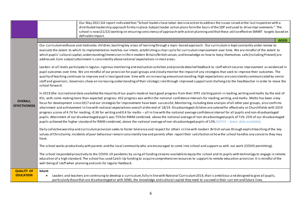|                                        | Our May 2021 SIA report indicated that "School leaders have taken decisive action to address the issues raised at the last inspection with a<br>distributed leadership approach firmly in place. Subject leader action plans form the basis of the SDP and used to drive improvements." The<br>school is now (21/22) working on ensuring consistency of approach with action planning and that these utilise effective SMART targets based on<br>definable impact.                                                                                                                                                                                                                                                                                                                                                                                                                                                                                                                                                                                                                                                                                                                                              |
|----------------------------------------|-----------------------------------------------------------------------------------------------------------------------------------------------------------------------------------------------------------------------------------------------------------------------------------------------------------------------------------------------------------------------------------------------------------------------------------------------------------------------------------------------------------------------------------------------------------------------------------------------------------------------------------------------------------------------------------------------------------------------------------------------------------------------------------------------------------------------------------------------------------------------------------------------------------------------------------------------------------------------------------------------------------------------------------------------------------------------------------------------------------------------------------------------------------------------------------------------------------------|
|                                        | <b>GOOD</b>                                                                                                                                                                                                                                                                                                                                                                                                                                                                                                                                                                                                                                                                                                                                                                                                                                                                                                                                                                                                                                                                                                                                                                                                     |
| <b>OVERALL</b><br><b>EFFECTIVENESS</b> | Our curriculum enthuses and motivates children, teaching key areas of learning through a topic-based approach. Our curriculum is kept constantly under review to<br>evaluate the extent to which its implementation matches our intent, establishing a clear cycle for curriculum improvement over time. We are mindful of the extent to<br>which pupils' cultural capital, understanding/immersion in life in modern Britain/British values, and knowledge on how to keep themselves safe (including Prevent) are<br>addressed. Core subject attainment is consistently above national expectations in most areas.                                                                                                                                                                                                                                                                                                                                                                                                                                                                                                                                                                                             |
|                                        | Leaders at all levels participate in regular, rigorous monitoring and evaluation activities and provide detailed feedback to staff which secures improvement as evidenced in<br>pupil outcomes over time. We are mindful of our provision for pupil groups and closely monitor the impact of any strategies that seek to improve their outcomes. The<br>quality of teaching continues to improve and is least good over time with an increasing amount out standing. High expectations are consistently communicated by senior<br>staff and governors. Governors show an increasing understanding of their strategic role through improved support and challenge to the headteacher in order to move the<br>school forward.                                                                                                                                                                                                                                                                                                                                                                                                                                                                                     |
|                                        | In 2019 (the last national data available) the majority of our pupils made at least good progress from their EYFS starting point in reading, writing and maths by the end of<br>KS1, with some making more than expected progress. KS2 progress was within the national confidence intervals for reading, writing, and maths. Maths has been a key<br>focus for development since 2017 and our strategies for improvement have been successful; Monitoring, including data analysis of all other year groups, also confirms<br>attainment and achievement in line with national expectations overall at the end of 18/19. Disadvantaged children are catered for effectively at Churchfields with 2019<br>progress scores of 4.74 for reading, -0.36 for writing and 0.4 for maths - all in line with the national average confidence interval for all pupils and non-disadvantaged<br>pupils. Attainment of our disadvantaged pupils was 75% for RWM combined, above the national average of non-disadvantaged pupils of 71%. 25% of our disadvantaged<br>pupils achieved the higher standard for RWM combined, above the national average of non-disadvantaged pupils of 13% (ASP19 - latest data available). |
|                                        | Daily collective worship and curriculum provision seeks to foster tolerance and respect for others in line with modern British values through explicit teaching of the key<br>values of Christianity. Incidents of poor behaviour remain consistently low and parents often report their satisfaction at how the school handles any concerns they may<br>have.                                                                                                                                                                                                                                                                                                                                                                                                                                                                                                                                                                                                                                                                                                                                                                                                                                                  |
|                                        | The school works productively with parents and the local community who are encouraged to come into school and support us with our work (COVID permitting).                                                                                                                                                                                                                                                                                                                                                                                                                                                                                                                                                                                                                                                                                                                                                                                                                                                                                                                                                                                                                                                      |
|                                        | The school responded proactively to the COVID-19 pandemic by using all funding streams available to equip the school and its pupils with technology to engage in remote<br>education of a high standard. The school has used Catch-Up funding to acquire comprehensive resources to support its remote education provision. It is mindful of the<br>well-being of staff when planning and asks for regular feedback.                                                                                                                                                                                                                                                                                                                                                                                                                                                                                                                                                                                                                                                                                                                                                                                            |
| <b>QUALITY OF</b><br><b>EDUCATION</b>  | Intent<br>Leaders and teachers are continuing to develop a curriculum, fully in line with National Curriculum 2014, that is ambitious and designed to give all pupils,<br>particularly those that are disadvantaged or with SEND, the knowledge and cultural capital they need to succeed in their current and future lives.                                                                                                                                                                                                                                                                                                                                                                                                                                                                                                                                                                                                                                                                                                                                                                                                                                                                                    |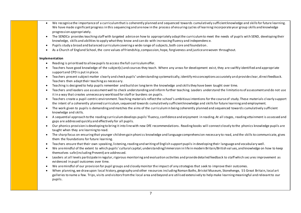- We recognise the importance of a curriculum that is coherently planned and sequenced towards cumulatively sufficient knowledge and skills for future learning. We have made significant progress in this sequencing and are now in the process of ensuring cycles of learning incorporate year group skills and knowledge progression appropriately.
- The SENDCo provides teaching staff with targeted advice on how to appropriately adapt the curriculum to meet the needs of pupils with SEND, developing their knowledge, skills and abilities to apply what they know and can do with increasing fluency and independenc e.
- Pupils study a broad and balanced curriculum covering a wide range of subjects, both core and foundation.
- As a Church of England School, the core values of friendship, compassion, hope, forgiveness and justiceare woven throughout.

#### **Implementation**

- Reading is prioritised to allow pupils to access the full curriculum offer.
- Teachers have good knowledge of the subject(s) and courses they teach. Where any areas for development exist, they are swiftly identified and appropriate support and CPD is put in place.
- Teachers present subject matter clearly and check pupils' understanding systematically, identify misconceptions accurately and provide clear, direct feedback. Teachers then adapt their teaching as necessary.
- Teaching is designed to help pupils remember and build on long term the knowledge and skills they have been taught over time.
- Teachers and leaders use assessment well to check understanding and inform further teaching. Leaders understand the limitations of assessment and do not use it in a way that creates unnecessary workload for staff or burdens on pupils.
- Teachers create a pupil-centric environment. Teaching materials reflect the school's ambitious intentions for the course of study. These materials cl early support the intent of a coherently planned curriculum, sequenced towards cumulatively sufficient knowledge and skills for future learning and employment.
- The work given to pupils is demanding and matches the aims of the curriculum in being coherently planned and sequenced toward s cumulatively sufficient knowledge and skills.
- A sequential approach to the reading curriculum develops pupils' fluency, confidence and enjoyment in reading. At all stages, reading attainment is assessed and gaps are addressed quickly and effectively for all pupils.
- Our phonics provision is developing to bring it into line with new DfE recommendations. Reading books will connect closely to the phonics knowledge pupils are taught when they are learning to read.
- The sharp focus on ensuring that younger children gain phoni cs knowledge and language comprehension necessary to read, and the skills to communicate, gives them the foundations for future learning.
- Teachers ensure that their own speaking, listening, reading and writing of English support pupils in developing their language and vocabulary well.
- We are mindful of the extent to which pupils' cultural capital, understanding/immersion in life in modern Britain/British val ues, and knowledge on how to keep themselves safe (including Prevent) are addressed.
- Leaders at all levels participate in regular, rigorous monitoring and evaluation activities and provide detailed feedback to staff which sec ures improvement as evidenced in pupil outcomes over time.
- We are mindful of our provision for pupil groups and closely monitor the impact of any strategies that seek to improve their outcomes.
- When planning, we draw upon local history, geography and other resources including Roman Baths, Bristol Museum, Stonehenge, S S Great Britain, local art galleries to name a few. Trips, visits and visitors from the local area and beyond are utilised extensively to help make learning meaningful and relevant to our pupils.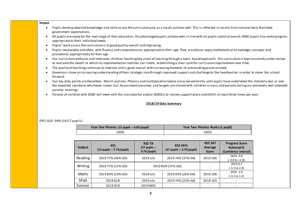

#### EYFS GLD: 94% (16/17 pupils)

| Year One Phonics (15 pupils – 6.6%/pupil) | Year Two Phonics Resits (1 pupil) |
|-------------------------------------------|-----------------------------------|
| 00%،                                      | 100%                              |

| <b>Subject</b> | <b>KS1</b><br>$(13$ pupils $-7.7\%/p$ upil) | <b>KS2 TA</b><br>$(27$ pupils $-$<br>$3.7%$ /pupil) | <b>KS2 SATs</b><br>$(27$ pupils $-3.7%$ /pupil) | <b>KS2 SAT</b><br>Average<br><b>Score</b> | <b>Progress Score</b><br>National=0<br>(Confidence Interval) |
|----------------|---------------------------------------------|-----------------------------------------------------|-------------------------------------------------|-------------------------------------------|--------------------------------------------------------------|
| Reading        | 2019 77% (46% GD)                           | 2019 n/a                                            | 2019 74% (37% HA)                               | 2019 106                                  | $2019 - 0.6$<br>(-3.0 to +1.8)                               |
| Writing        | 2019 77% (15% GD)                           |                                                     | 2019 85% (37% GD)                               |                                           | 2019 0.7<br>(-1.5 to 2.9)                                    |
| Maths          | 2019 69% (23% GD)                           | 2019 n/a                                            | 2019 93% (26% HA)                               | 2019 106                                  | $2019 - 1.0$<br>(-3.1 to 1.1)                                |
| <b>SPaG</b>    | 2019 62%                                    | 2019 n/a                                            | 2019 74% (22% HA)                               | 2019 105                                  |                                                              |
| Science        | 201992%                                     | 201986%                                             |                                                 |                                           |                                                              |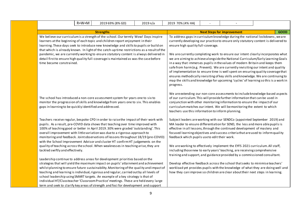|                                                          | R+W+M                                                                                                                                                                                                                                                                                                                                                                                                                                                                                                                                                                       | 2019 69% (8% GD)                                                                                                                                                                                                                                                                                                                                                                                                                                                                                                                                                                                                            | 2019 n/a                                                                                                                                                                                                                                                                                                                                                                                                                                                                                                                                                                                                                                                                                                                                                                                                                          | 2019 70% (4% HA)                                  |  |                                                                                                                                                                                                                                                                                                                                |                                                                                 |  |
|----------------------------------------------------------|-----------------------------------------------------------------------------------------------------------------------------------------------------------------------------------------------------------------------------------------------------------------------------------------------------------------------------------------------------------------------------------------------------------------------------------------------------------------------------------------------------------------------------------------------------------------------------|-----------------------------------------------------------------------------------------------------------------------------------------------------------------------------------------------------------------------------------------------------------------------------------------------------------------------------------------------------------------------------------------------------------------------------------------------------------------------------------------------------------------------------------------------------------------------------------------------------------------------------|-----------------------------------------------------------------------------------------------------------------------------------------------------------------------------------------------------------------------------------------------------------------------------------------------------------------------------------------------------------------------------------------------------------------------------------------------------------------------------------------------------------------------------------------------------------------------------------------------------------------------------------------------------------------------------------------------------------------------------------------------------------------------------------------------------------------------------------|---------------------------------------------------|--|--------------------------------------------------------------------------------------------------------------------------------------------------------------------------------------------------------------------------------------------------------------------------------------------------------------------------------|---------------------------------------------------------------------------------|--|
|                                                          |                                                                                                                                                                                                                                                                                                                                                                                                                                                                                                                                                                             | <b>Strengths</b>                                                                                                                                                                                                                                                                                                                                                                                                                                                                                                                                                                                                            |                                                                                                                                                                                                                                                                                                                                                                                                                                                                                                                                                                                                                                                                                                                                                                                                                                   |                                                   |  | <b>Next Steps for improvement</b>                                                                                                                                                                                                                                                                                              | <b>GOOD</b>                                                                     |  |
|                                                          | We believe our curriculum is a strength of the school. Our termly Wow! Days inspire<br>learners at the beginning of each topic and children report enjoyment in their<br>learning. These days seek to introduce new knowledge and skills to pupils or build on<br>that which is already known. In light of the catch-up time restrictions as a result of the<br>pandemic, we are currently working to ensure statutory content is always delivered in<br>detail first to ensure high quality full-coverage is maintained as was the case before<br>time became constrained. |                                                                                                                                                                                                                                                                                                                                                                                                                                                                                                                                                                                                                             | To address gaps in curriculum knowledge during the national lockdowns, we are<br>currently developing our practice to ensure only statutory content is delivered to<br>ensure high quality full-coverage.<br>We are currently completing work to ensure our intent clearly incorporates what<br>we are aiming to achieve alongside the National Curriculum/Early Learning Goals<br>in a way that immerses pupils in the values of modern Britain and keeps them<br>safe from harm (e.g. Prevent). We are currently revisiting our intent and quality<br>of implementation to ensure time is well spent on ensuring quality coverage that<br>ensures methodically revisiting of key skills and knowledge. We are continuing to<br>map the skills and knowledge for upcoming 'cycles' of learning so this is a work in<br>progress. |                                                   |  |                                                                                                                                                                                                                                                                                                                                |                                                                                 |  |
| gaps in learning to be quickly identified and addressed. |                                                                                                                                                                                                                                                                                                                                                                                                                                                                                                                                                                             | The school has introduced a non-core assessment system for years one to six to<br>monitor the progression of skills and knowledge from years one to six. This enables                                                                                                                                                                                                                                                                                                                                                                                                                                                       |                                                                                                                                                                                                                                                                                                                                                                                                                                                                                                                                                                                                                                                                                                                                                                                                                                   | teachers use this information to inform planning. |  | of our curriculum. This will provide further information that can be used in<br>conjunction with other monitoring information to ensure the impact of our<br>curriculum matches our intent. We will be monitoring the extent to which                                                                                          | We are extending our non-core assessments to include knowledge-based aspects    |  |
|                                                          |                                                                                                                                                                                                                                                                                                                                                                                                                                                                                                                                                                             | Teachers receive regular, bespoke CPD in order to raise the impact of their work with<br>pupils. As a result, pre-COVID data shows that teaching over time improved with<br>100% of teaching good or better in April 2019.30% were graded 'outstanding'. This<br>overall improvement with little variation was due to a rigorous approach to<br>monitoring and feedback. Joint observations of lessons throughout 18/19 (pre-COVID)<br>with the School Improvement Advisor and cluster HT confirm HT judgements on the                                                                                                      |                                                                                                                                                                                                                                                                                                                                                                                                                                                                                                                                                                                                                                                                                                                                                                                                                                   | feedback which pupils use to edit their work.     |  | Subject leaders are working with our SENDCo (appointed September 2019) and<br>MA leader to ensure differentiation for SEND, the less and more able pupils is<br>effective in all lessons, through the continued development of mastery and<br>focused learning objectives and success criteria that are used to inform quality |                                                                                 |  |
| tackled swiftly and effectively.                         |                                                                                                                                                                                                                                                                                                                                                                                                                                                                                                                                                                             | quality of teaching across the school. When weaknesses in teaching arise, they are                                                                                                                                                                                                                                                                                                                                                                                                                                                                                                                                          |                                                                                                                                                                                                                                                                                                                                                                                                                                                                                                                                                                                                                                                                                                                                                                                                                                   |                                                   |  | We are working to effectively implement the EYFS 2021 curriculum. All staff,<br>including those new to early years' teaching, are receiving comprehensive<br>training and support, and guidance provided by a commissioned consultant.                                                                                         |                                                                                 |  |
|                                                          |                                                                                                                                                                                                                                                                                                                                                                                                                                                                                                                                                                             | Leadership continue to address areas for development priorities based on the<br>strategies that will yield the maximum impact on pupils' attainment and achievement<br>whilst planning to ensure future sustainability. Monitoring of the quality and impact of<br>teaching and learning is individual, rigorous and regular, carried out by all levels of<br>school leadership using SMART targets. An example of a key strategy is that of<br>individual HT/Classteacher 'Classroom Practice' meetings. These are held every large<br>term and seek to clarify key areas of strength and foci for development and support |                                                                                                                                                                                                                                                                                                                                                                                                                                                                                                                                                                                                                                                                                                                                                                                                                                   |                                                   |  | Develop effective feedback across the school that seeks to minimise teachers'<br>how they can improve so children are clear about their next steps in learning.                                                                                                                                                                | workload yet provides pupils with the knowledge of what they are doing well and |  |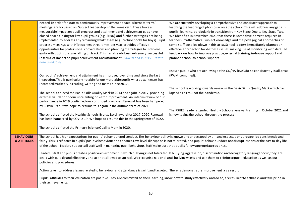|                        | needed in order for staff to continuously improvement at pace. Alternate terms'                                                                                                   | We are currently developing a comprehensive and consistent approach to                                                |
|------------------------|-----------------------------------------------------------------------------------------------------------------------------------------------------------------------------------|-----------------------------------------------------------------------------------------------------------------------|
|                        | meetings are focussed on 'Subject Leadership' in the same vein. These have a                                                                                                      | teaching the teaching of phonics across the school. This will address any gaps in                                     |
|                        | measurable impact on pupil progress and attainment and achievement gaps have                                                                                                      | pupils' learning, particularly in transition from Key Stage One to Key Stage Two.                                     |
|                        | closed or are closing for key pupil groups (e.g. SEND) and further strategies are being                                                                                           | We identified in November 2021 that there is some development required in                                             |
|                        | implemented to address any remaining weaknesses (e.g. picture books for boys). Pupil                                                                                              | teachers' mathematical subject knowledge and the pedagogical approaches of                                            |
|                        | progress meetings with HT/teachers three times per year provides effective                                                                                                        | some staff post-lockdown in this area. School leaders immediately planned an                                          |
|                        | opportunities for professional conversations and planning of strategies to intervene                                                                                              | effective approach to tackle these issues, making use of monitoring with detailed                                     |
|                        | early with pupils that are falling off track. This has already been extremely successful                                                                                          | feedback on how to improve practice, external training, in-house support and                                          |
|                        | in terms of impact on pupil achievement and attainment (ISDR18 and ISDR19 - latest                                                                                                | planned school-to-school support.                                                                                     |
|                        | data available).                                                                                                                                                                  |                                                                                                                       |
|                        |                                                                                                                                                                                   |                                                                                                                       |
|                        |                                                                                                                                                                                   | Ensure pupils who are achieving at the GD/HA level, do so consistently in all areas                                   |
|                        | Our pupils' achievement and attainment has improved over time and since the last                                                                                                  | (RWM combined).                                                                                                       |
|                        | inspection. This is particularly notable for our more able pupils where attainment has                                                                                            |                                                                                                                       |
|                        | increased markedly in reading, writing and maths since 2017.                                                                                                                      |                                                                                                                       |
|                        |                                                                                                                                                                                   | The school is working towards renewing the Basic Skills Quality Mark which has<br>lapsed as a result of the pandemic. |
|                        | The school achieved the Basic Skills Quality Mark in 2014 and again in 2017, providing<br>external validation of our unrelenting drive for improvement. An interim review of our  |                                                                                                                       |
|                        | performance in 2019 confirmed our continued progress. Renewal has been hampered                                                                                                   |                                                                                                                       |
|                        | by COVID-19 but we hope to resume this again in the autumn term of 2021.                                                                                                          |                                                                                                                       |
|                        |                                                                                                                                                                                   | The PSHEE leader attended Healthy Schools renewal training in October 2021 and                                        |
|                        | The school achieved the Healthy Schools Bronze Level award for 2017-2020. Renewal                                                                                                 | is now taking the school through the process.                                                                         |
|                        | has been hampered by COVID-19. We hope to resume this in the spring term of 2022.                                                                                                 |                                                                                                                       |
|                        |                                                                                                                                                                                   |                                                                                                                       |
|                        | The school achieved the Primary Science Quality Mark in 2020.                                                                                                                     |                                                                                                                       |
|                        |                                                                                                                                                                                   |                                                                                                                       |
| <b>BEHAVIOURS</b>      | The school has high expectations for pupils' behaviour and conduct. The behaviour policy is known and understood by all, and expectations are applied consistently and            |                                                                                                                       |
| <b>&amp; ATTITUDES</b> | fairly. This is reflected in pupils' positive behaviour and conduct. Low-level disruption is not tolerated, and pupils' behaviour does not disrupt lessons or the day-to-day life |                                                                                                                       |
|                        | of the school. Leaders supportall staff well in managing pupil behaviour. Staff make sure that pupils follow appropriate rou tines.                                               |                                                                                                                       |
|                        | Leaders, staff and pupils create a positive environment in which bullying is not tolerated. If bullying, aggression, discrimination and derogatory language occur, they are       |                                                                                                                       |
|                        | dealt with quickly and effectively and are not allowed to spread. We recognise national anti-bullying weeks and use them to reinforce pupil education as well as our              |                                                                                                                       |
|                        | policies and procedures.                                                                                                                                                          |                                                                                                                       |
|                        |                                                                                                                                                                                   |                                                                                                                       |
|                        | Action taken to address issues related to behaviour and attendance is swift and targeted. There is demonstrable improvement as a result.                                          |                                                                                                                       |
|                        | Pupils' attitudes to their education are positive. They are committed to their learning, know how to study effectively and do so, are resilient to setbacks and take pride in     |                                                                                                                       |
|                        | their achievements.                                                                                                                                                               |                                                                                                                       |
|                        |                                                                                                                                                                                   |                                                                                                                       |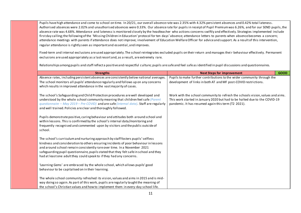Pupils have high attendance and come to school on time. In 20/21, our overall absence rate was 2.35% with 4.32% persistent absences and 0.42% total lateness. Authorised absences were 2.02% and unauthorised absences were 0.33%. Our absence rate for pupils in receipt of Pupil Premium was 6.26%, and for our SEND pupils, the absence rate was 4.68%. Attendance and lateness is monitored closely by the headteacher who actions concerns swiftly and effectively. Strategies implemented include first day calling; the following of the 'Missing Children in Education' protocol for ten days' absence; attendance letters to parents when absence becomes a concern; attendance meetings with parents if attendance does not improve; involvement of Education Welfare Officer for advice and support. As a result of this intervention, regular attendance is rightly seen as important and essential, and improves.

Fixed-term and internal exclusions are used appropriately. The school reintegrates excluded pupils on their return and manages thei r behaviour effectively. Permanent exclusions are used appropriately as a last resort and, as a result, are extremely rare.

Relationships among pupils and staff reflect a positive and respectful culture; pupils are safe and feel safe as identified in pupil discussions and questionnaires.

| <b>Strengths</b>                                                                                                                                                                                                                                                  | <b>Next Steps for improvement</b>                                                                                                                                                                                   | <b>GOOD</b> |
|-------------------------------------------------------------------------------------------------------------------------------------------------------------------------------------------------------------------------------------------------------------------|---------------------------------------------------------------------------------------------------------------------------------------------------------------------------------------------------------------------|-------------|
| Absence rates, including persistent absences are consistently below national averages.                                                                                                                                                                            | Pupils to make further contributions to the wider community through the                                                                                                                                             |             |
| The school monitors all pupils' attendance regularly and follows up on any concerns                                                                                                                                                                               | development of links in both AT and MF post-COVID restrictions.                                                                                                                                                     |             |
| which results in improved attendance in the vast majority of cases.                                                                                                                                                                                               |                                                                                                                                                                                                                     |             |
| The school's Safeguarding and Child Protection procedures are well developed and<br>understood by the whole school community meaning that children feel safe (Parent<br>questionnaire - May $2019$ - Pre-COVID) and are safe (internal data). Staff are regularly | Work with the school community to refresh the schools vision, values and aims.<br>This work started in January 2020 but had to be halted due to the COVID-19<br>pandemic. It has resumed again this term (T2 2021). |             |
| and well trained. Policies are clear and thoroughly followed.                                                                                                                                                                                                     |                                                                                                                                                                                                                     |             |
| Pupils demonstrate positive, caring behaviour and attitudes both around school and<br>within lessons. This is confirmed by the school's internal data/monitoring and<br>frequently recognised and commented upon by visitors and the public outside of<br>school. |                                                                                                                                                                                                                     |             |
| The school's curriculum and nurturing approach by staff fosters pupils' selfless                                                                                                                                                                                  |                                                                                                                                                                                                                     |             |
| kindness and consideration to others ensuring incidents of poor behaviour in lessons                                                                                                                                                                              |                                                                                                                                                                                                                     |             |
| and around school remain consistently rare over time. In a November 2021                                                                                                                                                                                          |                                                                                                                                                                                                                     |             |
| safeguarding pupil questionnaire, pupils stated that they felt safe in school and they                                                                                                                                                                            |                                                                                                                                                                                                                     |             |
| had at least one adult they could speak to if they had any concerns.                                                                                                                                                                                              |                                                                                                                                                                                                                     |             |
|                                                                                                                                                                                                                                                                   |                                                                                                                                                                                                                     |             |
| 'Learning Gems' are embraced by the whole school, which allows pupils' good<br>behaviour to be capitalised on in their learning.                                                                                                                                  |                                                                                                                                                                                                                     |             |
|                                                                                                                                                                                                                                                                   |                                                                                                                                                                                                                     |             |
| The whole school community refreshed its vision, values and aims in 2015 and is mid-                                                                                                                                                                              |                                                                                                                                                                                                                     |             |
| way doing so again. As part of this work, pupils are regularly taught the meaning of                                                                                                                                                                              |                                                                                                                                                                                                                     |             |
| the school's Christian values and how to implement them in every-day school life.                                                                                                                                                                                 |                                                                                                                                                                                                                     |             |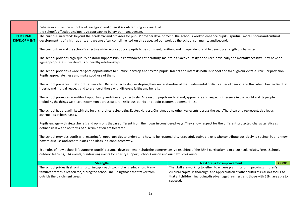|                    | Behaviour across the school is at least good and often it is outstanding as a result of<br>the school's effective and positive approach to behaviour management.                                                                                                                    |                                                                                                                                                                                        |  |  |  |
|--------------------|-------------------------------------------------------------------------------------------------------------------------------------------------------------------------------------------------------------------------------------------------------------------------------------|----------------------------------------------------------------------------------------------------------------------------------------------------------------------------------------|--|--|--|
| <b>PERSONAL</b>    | The curriculum extends beyond the academic and provides for pupils' broader development. The school's work to enhance pupils' spiritual, moral, social and cultural                                                                                                                 |                                                                                                                                                                                        |  |  |  |
| <b>DEVELOPMENT</b> | development is of a high quality and we are often complimented on this aspect of our work by the school community and beyond.                                                                                                                                                       |                                                                                                                                                                                        |  |  |  |
|                    | The curriculum and the school's effective wider work support pupils to be confident, resilient and independent, and to develop strength of character.                                                                                                                               |                                                                                                                                                                                        |  |  |  |
|                    | The school provides high-quality pastoral support. Pupils know how to eat healthily, maintain an active lifestyle and keep physically and mentally healthy. They have an<br>age-appropriate understanding of healthy relationships.                                                 |                                                                                                                                                                                        |  |  |  |
|                    | The school provides a wide range of opportunities to nurture, develop and stretch pupils' talents and interests both in school and th rough our extra-curricular provision.<br>Pupils appreciate these and make good use of them.                                                   |                                                                                                                                                                                        |  |  |  |
|                    | The school prepares pupils for life in modern Britain effectively, developing their understanding of the fundamental British values of democracy, the rule of law, individual<br>liberty, and mutual respect and tolerance of those with different faiths and beliefs.              |                                                                                                                                                                                        |  |  |  |
|                    | The school promotes equality of opportunity and diversity effectively. As a result, pupils understand, appreciate and respect difference in the world and its people,<br>including the things we share in common across cultural, religious, ethnic and socio-economic communities. |                                                                                                                                                                                        |  |  |  |
|                    | The school has close links with the local churches, celebrating Easter, Harvest, Christmas and other key events across the year. The vicar or a representative leads<br>assemblies at both bases.                                                                                   |                                                                                                                                                                                        |  |  |  |
|                    | Pupils engage with views, beliefs and opinions that are different from their own in considered ways. They show respect for the different protected characteristics as<br>defined in law and no forms of discrimination are tolerated.                                               |                                                                                                                                                                                        |  |  |  |
|                    | The school provides pupils with meaningful opportunities to understand how to be responsible, respectful, active citizens who contribute positively to society. Pupils know<br>how to discuss and debate issues and ideas in a considered way.                                      |                                                                                                                                                                                        |  |  |  |
|                    | Examples of how school life supports pupils' personal development include the comprehensive teaching of the RSHE curriculum, extra-curricularclubs, Forest School,<br>outdoor learning, PTA events, fundraising events for charity support, School Council and our new Eco-Council. |                                                                                                                                                                                        |  |  |  |
|                    | <b>Next Steps for improvement</b><br><b>Strengths</b><br><b>GOOD</b>                                                                                                                                                                                                                |                                                                                                                                                                                        |  |  |  |
|                    | The school prides itself on its nurturing approach to children's education. Many                                                                                                                                                                                                    | The staff are working together to ensure planning for improving children's                                                                                                             |  |  |  |
|                    | families state this reason for joining the school, including those that travel from<br>outside the catchment area.                                                                                                                                                                  | cultural capital is thorough, and appreciation of other cultures is also a focus so<br>that all children, including disadvantaged learners and those with SEN, are able to<br>succeed. |  |  |  |
|                    |                                                                                                                                                                                                                                                                                     |                                                                                                                                                                                        |  |  |  |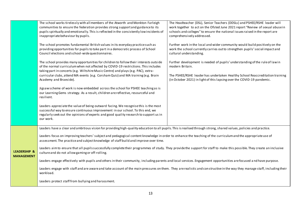|                         | The school works tirelessly with all members of the Atworth and Monkton Farleigh                                                                                           | The Headteacher (DSL), Senior Teachers (DDSLs) and PSHEE/RSHE leader will      |  |  |  |
|-------------------------|----------------------------------------------------------------------------------------------------------------------------------------------------------------------------|--------------------------------------------------------------------------------|--|--|--|
|                         | communities to ensure the federation provides strong support and guidance to its                                                                                           | work together to act on the Ofsted June 2021 report "Review of sexual abuse in |  |  |  |
|                         | pupils spiritually and emotionally. This is reflected in the consistently low incidents of                                                                                 | schools and colleges" to ensure the national issues raised in the report are   |  |  |  |
|                         | inappropriate behaviour by pupils.                                                                                                                                         | comprehensively addressed.                                                     |  |  |  |
|                         |                                                                                                                                                                            |                                                                                |  |  |  |
|                         | The school promotes fundamental British values in its everyday practice such as                                                                                            | Further work in the local and wider community would build positively on the    |  |  |  |
|                         | providing opportunities for pupils to take part in a democratic process of School                                                                                          | work the school currently carries out to strengthen pupils' social impact and  |  |  |  |
|                         | Council elections and school-wide questionnaires.                                                                                                                          | cultural understanding.                                                        |  |  |  |
|                         | The school provides many opportunities for children to follow their interests outside                                                                                      | Further development is needed of pupils' understanding of the rule of law in   |  |  |  |
|                         | of the normal curriculum when not affected by COVID-19 restrictions. This includes                                                                                         | modern Britain.                                                                |  |  |  |
|                         | taking part in concerts (e.g. Wiltshire Music Centre) and plays (e.g. PAC), extra-                                                                                         |                                                                                |  |  |  |
|                         | curricular clubs, attend MA events (e.g. Corsham Quiz) and MA training (e.g. Brain                                                                                         | The PSHEE/RSHE leader has undertaken Healthy School Reaccreditation training   |  |  |  |
|                         | Academy and Braeside).                                                                                                                                                     | (in October 2021) in light of this lapsing over the COVID-19 pandemic.         |  |  |  |
|                         |                                                                                                                                                                            |                                                                                |  |  |  |
|                         | Jigsaw scheme of work is now embedded across the school for PSHEE teaching as is                                                                                           |                                                                                |  |  |  |
|                         | our Learning Gems strategy. As a result, children are reflective, resourceful and                                                                                          |                                                                                |  |  |  |
|                         | resilient.                                                                                                                                                                 |                                                                                |  |  |  |
|                         | Leaders appreciate the value of being outward facing. We recognise this is the most                                                                                        |                                                                                |  |  |  |
|                         | successful way to ensure continuous improvement in our school. To this end, we                                                                                             |                                                                                |  |  |  |
|                         | regularly seek out the opinions of experts and good quality research to support us in                                                                                      |                                                                                |  |  |  |
|                         | our work.                                                                                                                                                                  |                                                                                |  |  |  |
|                         |                                                                                                                                                                            |                                                                                |  |  |  |
|                         | Leaders have a clear and ambitious vision for providing high-quality education to all pupils. This is realised through strong, shared values, policies and practice.       |                                                                                |  |  |  |
|                         | Leaders focus on improving teachers' subject and pedagogical content knowledge in order to enhance the teaching of the curriculum and the appropriate use of               |                                                                                |  |  |  |
|                         | assessment. The practice and subject knowledge of staff build and improve over time.                                                                                       |                                                                                |  |  |  |
|                         |                                                                                                                                                                            |                                                                                |  |  |  |
| <b>LEADERSHIP &amp;</b> | Leaders aim to ensure that all pupils successfully complete their programmes of study. They provide the support for staff to make this possible. They create an inclusive  |                                                                                |  |  |  |
| <b>MANAGEMENT</b>       | culture and do not allow gaming or off-rolling.                                                                                                                            |                                                                                |  |  |  |
|                         | Leaders engage effectively with pupils and others in their community, including parents and local services. Engagement opportunities are focused and have purpose.         |                                                                                |  |  |  |
|                         | Leaders engage with staff and are aware and take account of the main pressures on them. They are realistic and con structive in the way they manage staff, including their |                                                                                |  |  |  |
|                         | workload.                                                                                                                                                                  |                                                                                |  |  |  |
|                         | Leaders protect staff from bullying and harassment.                                                                                                                        |                                                                                |  |  |  |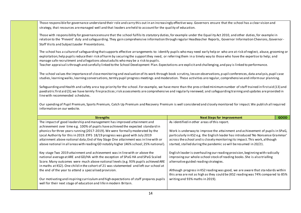Those responsible for governance understand their role and carry this out in an increasingly effective way. Governors ensure that the school has a clear vision and strategy, that resources are managed well and that leaders are held to account for the quality of education.

Those with responsibility for governance ensure that the school fulfils its statutory duties, for example under the Equal ity Act 2010, and other duties, for example in relation to the 'Prevent' duty and safeguarding. They gain comprehensive information through regular Headteacher Reports, Governor Information Chevrons, Governor-Staff Visits and Subject Leader Presentations.

The school has a culture of safeguarding that supports effective arrangements to: identify pupils who may need early help or who are at risk of neglect, abuse, grooming or exploitation; help pupils reduce their risk of harm by securing the support they need, or referring them in a timely way to those who have the expertise to help; and manage safe recruitment and allegations about adults who may be a risk to pupils.

Teacher appraisal is through and carefully linked to the School Development Plan. Expectations are explicit and challenging, and pay is linked to performance.

The school values the importance of close monitoring and evaluation of its work through book scrutiny, lesson observations, p upil conferences, data analysis, pupil case studies, learning walks, learning conversations, termly pupil progress meetings and moderation. These activities are regular, comprehensive and inform our planning.

Safeguarding and Health and safety are a top priority for the school. For example, we have more than the pres cribed minimum number of staff trained in first aid (13) and paediatric first aid (3); we have termly fire practices;risk assessments are comprehensive and regularly reviewed; and safeguarding training and updates are provided in line with recommended schedules.

Our spending of Pupil Premium, Sports Premium, Catch Up Premium and Recovery Premium is well considered and closely monitored for impact. We publish all required information on our website.

| <b>Strengths</b>                                                                       | <b>Next Steps for improvement</b>                                                | <b>GOOD</b> |
|----------------------------------------------------------------------------------------|----------------------------------------------------------------------------------|-------------|
| The impact of good leadership and management has improved attainment and               | As identified in other areas of this report.                                     |             |
| achievement over time e.g. 100% of pupils have achieved the expected standard in       |                                                                                  |             |
| phonics for three years running (2017-2019). We were formally moderated by the         | Work is underway to improve the attainment and achievement of pupils in SPaG,    |             |
| Local Authority for this in 2019. EYFS 18/19 progress was good with July 2019          | particularly in KS2 e.g. the English leader has introduced 'No Nonsense Grammar' |             |
| attainment above national data; End of Key Stage One attainment was in line with or    | across the school and is closely monitoring its impact. This work, although      |             |
| above national in all areas with reading GD notably higher (46% school; 25% national). | started, stalled during the pandemic so will be resumed in 20/21.                |             |
|                                                                                        |                                                                                  |             |
| Key stage Two 2019 attainment and achievement was in line with or above the            | English leader is overhauling our reading provision, beginning with radically    |             |
| national average at ARE and GD/HA with the exception of SPaG HA and SPaG Scaled        | improving our whole-school stock of reading books. She is also trialling         |             |
| Score. Many outcomes were much above national levels (e.g. 93% pupils achieved ARE     | alternative guided reading strategies.                                           |             |
| in maths at KS2). One child in the cohort of 21 was statemented and left our school at |                                                                                  |             |
| the end of the year to attend a specialised provision.                                 | Although progress in KS2 reading was good, we are aware that standards within    |             |
|                                                                                        | this area are not as high as they could be (KS2 reading was 74% compared to 85%  |             |
| Our motivating and inspiring curriculum and high expectations of staff prepares pupils | writing and 93% maths in 2019).                                                  |             |
| well for their next stage of education and life in modern Britain.                     |                                                                                  |             |
|                                                                                        |                                                                                  |             |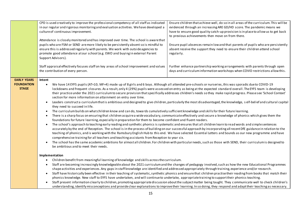|                                                         | CPD is used creatively to improve the professional competency of all staff as indicated<br>in our regular and rigorous monitoring and evaluation activities. We have developed a<br>culture of continuous improvement.<br>Attendance is closely monitored and has improved over time. The school is aware that<br>pupils who are FSM or SEND are more likely to be persistently absent so is mindful to<br>ensure this is addressed regularly with parents. We work with outside agencies to<br>promote good attendance at our school (e.g. EWO and buying in external Parent<br>Support Advisors).<br>Staff appraisal effectively focuses staff on key areas of school improvement and values<br>the contribution of every person.                                                                                                                                                                                                                                                                                                                                                                                                                                                                                                                                                                                                                                                                                                                                                                                                                                                                                                                                                                                                                                                                                                                                                                                                                                                                                                    | Ensure children that achieve well, do so in all areas of the curriculum. This will be<br>evidenced through an increasing ARE GD/HD score. The pandemic means we<br>have to ensure good quality catch-up provision is in place to allow us to get back<br>to previous achievements then move on from there.<br>Ensure pupil absences remain low and that parents of pupils who are persistently<br>absent receive the support they need to ensure their children attend school<br>regularly.<br>Further enhance partnership working arrangements with parents through open<br>days and curriculum information workshops when COVID restrictions allow this.                 |
|---------------------------------------------------------|----------------------------------------------------------------------------------------------------------------------------------------------------------------------------------------------------------------------------------------------------------------------------------------------------------------------------------------------------------------------------------------------------------------------------------------------------------------------------------------------------------------------------------------------------------------------------------------------------------------------------------------------------------------------------------------------------------------------------------------------------------------------------------------------------------------------------------------------------------------------------------------------------------------------------------------------------------------------------------------------------------------------------------------------------------------------------------------------------------------------------------------------------------------------------------------------------------------------------------------------------------------------------------------------------------------------------------------------------------------------------------------------------------------------------------------------------------------------------------------------------------------------------------------------------------------------------------------------------------------------------------------------------------------------------------------------------------------------------------------------------------------------------------------------------------------------------------------------------------------------------------------------------------------------------------------------------------------------------------------------------------------------------------------|----------------------------------------------------------------------------------------------------------------------------------------------------------------------------------------------------------------------------------------------------------------------------------------------------------------------------------------------------------------------------------------------------------------------------------------------------------------------------------------------------------------------------------------------------------------------------------------------------------------------------------------------------------------------------|
| <b>EARLY YEARS</b><br><b>FOUNDATION</b><br><b>STAGE</b> | Intent<br>We have 14 EYFS pupils (AT=10; MF=4) made up of 8 girls and 6 boys. Although all attended pre-schools or nurseries, this was sporadic due to COVID-19<br>$\bullet$<br>lockdowns and frequent closures. As a result, only 4 (29%) pupils were assessed on entry as being at the expected standard overall. The EYFS team is developing<br>their practice under the 2021 curriculum to secure provision that specifically addresses children's needs so they make rapid progress. Please see 'School Context'<br>section for more information on attainment on entry over time.<br>Leaders constructa curriculum that is ambitious and designed to give children, particularly the most disadvantaged, the knowledge, self-belief and cultural capital<br>they need to succeed in life.<br>The curriculum builds on what children know and can do, towards cumulatively sufficient knowledge and skills for their future learning.<br>There is a sharp focus on ensuring that children acquire a wide vocabulary, communicate effectively and secure a knowledge of phonics which gives them the<br>foundations for future learning, especially in preparation for them to become confident and fluent readers.<br>The school's approach to teaching early reading and synthetic phonics is systematic and ensures that all children learn to read words and simple sentences<br>accurately by the end of Reception. The school is in the process of building on our successful approach by incorporating all recent DfE guidance in relation to the<br>teaching of phonics, and is working with the Ramsbury English Hub to this end. We have selected Essential Letters and Sounds as our new programme and have<br>comprehensive training for all teachers and teaching assistants from Reception to year six.<br>The school has the same academic ambitions for almost all children. For children with particular needs, such as those with SEND, their curriculum is designed to<br>be ambitious and to meet their needs. |                                                                                                                                                                                                                                                                                                                                                                                                                                                                                                                                                                                                                                                                            |
|                                                         | Implementation<br>Children benefit from meaningful learning of knowledge and skills across the curriculum.<br>shape activities and experiences. Any gaps in staff knowledge are identified and addressed appropriately through training, experience and/or research.<br>phonics knowledge. New staff to EYFS have undertaken, and will continue to undertake, appropriate training to support their phonics teaching.                                                                                                                                                                                                                                                                                                                                                                                                                                                                                                                                                                                                                                                                                                                                                                                                                                                                                                                                                                                                                                                                                                                                                                                                                                                                                                                                                                                                                                                                                                                                                                                                                  | Staff are becoming increasingly knowledgeable about the 2021 curriculum and the changes of pedagogy involved, such as how the new Educational Programmes<br>Staff have historically been effective in their teaching of systematic, synthetic phonics and ensure that children practise their reading from books that match their<br>Staff present information clearly to children, promoting appropriate discussion about the subject matter being taught. They communicate well to check children's<br>understanding, identify misconceptions and provide clear explanations to improve their learning. In so doing, they respond and adapt their teaching as necessary. |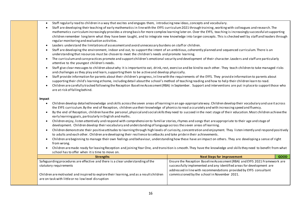- Staff regularly read to children in a way that excites and engages them, introducing new ideas, concepts and vocabulary.
- Staff are developing their teaching of early mathematics in line with the EYFS curriculum 2021 through training, working with colleagues and research. The mathematics curriculum increasingly provides a strong basis for more complex learning later on. Over the EYFS, teaching is increasingly successful at supporting children remember long term what they have been taught, and to integrate new knowledge into larger concepts. This is checked well by staff and leaders through regular monitoring and evaluation activities.
- Leaders understand the limitations of assessment and avoid unnecessary burdens on staff or children.
- Staff are developing the environment, indoor and out, to supportthe intent of an ambitious, coherently planned and sequenced curriculum. There is an understanding that resources must be chosen to meet the children's needs and promote learning.
- The curriculum and care practices promote and support children's emotional security and development of their character. Leaders and staff are particularly attentive to the youngest children's needs.
- Staff give clear messages to children about why it is important to eat, drink, rest, exercise and be kind to each other. They teach children to take managed risks and challenges as they play and learn, supporting them to be a ctive and develop physically.
- Staff provide information for parents about their children's progress, in line with the requirements of the EYFS. They provide information to parents about supporting their child's learning at home, including detail about the school's method of teaching reading and how to hel p their children learn to read.
- Children are carefully tracked following the Reception Baseline Assessment (RBA) in September. Support and interventions are put in place to support those who are at risk of falling behind.

#### **Impact**

- Children develop detailed knowledge and skills across the seven areas of learning in an age-appropriate way. Children develop their vocabulary and use it across the EYFS curriculum. By the end of Reception, children use their knowledge of phonics to read a ccurately and with increasing speed and fluency.
- By the end of Reception, children have the personal, physical and social skills they need to succeed in the next stage of their education. Most children achieve the early learning goals, particularly in English and maths.
- Children enjoy, listen attentively and respond with comprehension to familiar stories, rhymes and songs that are appropriate to their age and stage of development. Children develop their vocabulary and understanding of language across the s even areas of learning.
- Children demonstrate their positive attitudes to learning through high levels of curiosity, concentration and enjoyment. They listen intently and respond positively to adults and each other. Children are developing their resilience to setbacks and take pride in their achievements.
- Children are beginning to manage their own feelings and behaviour, understanding how these have an impact on others. They are developing a sense of right from wrong.
- Children are made ready for leaving Reception and joining Year One, and transition is smooth. They have the knowledge and skills they need to benefit from what school has to offer when it is time to move on.

| <b>Strengths</b>                                                                        | <b>Next Steps for improvement</b>                                          | <b>GOOD</b> |
|-----------------------------------------------------------------------------------------|----------------------------------------------------------------------------|-------------|
| Safeguarding procedures are effective and there is a clear understanding of the         | Ensure the Reception Baseline Assessment (RBA) and EYFS 2021 Framework are |             |
| statutory requirements                                                                  | successfully implemented and any identified areas for development are      |             |
|                                                                                         | addressed in line with recommendations provided by EYFS consultant         |             |
| Children are motivated and inspired to explore their learning, and as a result children | commissioned by the school in November 2021.                               |             |
| are on task with little or no low level disruption                                      |                                                                            |             |
|                                                                                         |                                                                            |             |